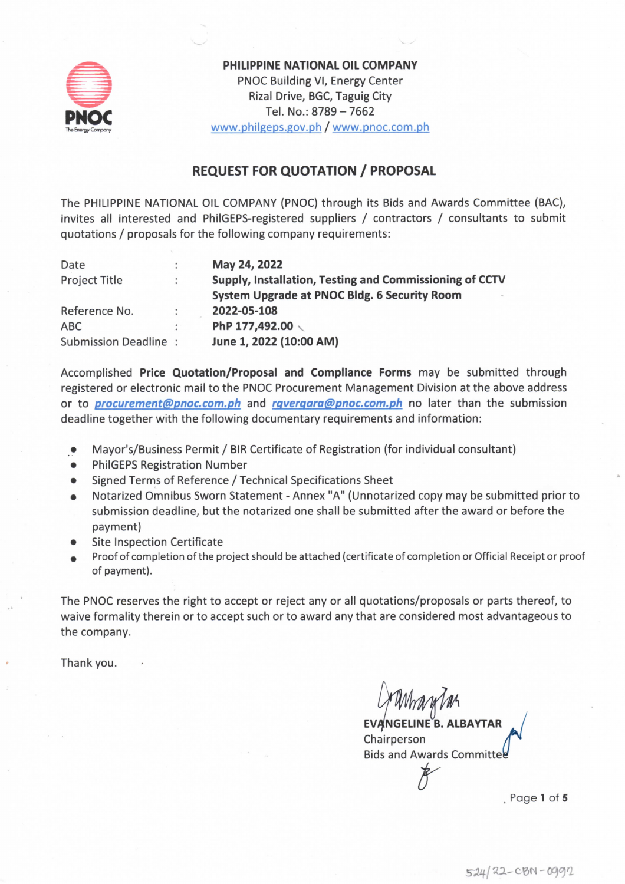

PHILIPPINE NATIONAL OIL COMPANY PNOC Building VI, Energy Center Rizal Drive, BGC, Taguig City Tel. No.: 8789 - 7662 www.philgeps.gov.ph / www.pnoc.com.ph

## **REQUEST FOR QUOTATION / PROPOSAL**

The PHILIPPINE NATIONAL OIL COMPANY (PNOC) through its Bids and Awards Committee (BAC), invites all interested and PhilGEPS-registered suppliers / contractors / consultants to submit quotations / proposals for the following company requirements:

| Date                 |   | May 24, 2022                                            |
|----------------------|---|---------------------------------------------------------|
| <b>Project Title</b> |   | Supply, Installation, Testing and Commissioning of CCTV |
|                      |   | System Upgrade at PNOC Bldg. 6 Security Room            |
| Reference No.        | ÷ | 2022-05-108                                             |
| <b>ABC</b>           |   | PhP 177,492.00                                          |
| Submission Deadline: |   | June 1, 2022 (10:00 AM)                                 |

Accomplished Price Quotation/Proposal and Compliance Forms may be submitted through registered or electronic mail to the PNOC Procurement Management Division at the above address or to *procurement@pnoc.com.ph* and *rgvergara@pnoc.com.ph* no later than the submission deadline together with the following documentary requirements and information:

- Mayor's/Business Permit / BIR Certificate of Registration (for individual consultant)  $\bullet$
- **PhilGEPS Registration Number**
- Signed Terms of Reference / Technical Specifications Sheet
- Notarized Omnibus Sworn Statement Annex "A" (Unnotarized copy may be submitted prior to submission deadline, but the notarized one shall be submitted after the award or before the payment)
- **Site Inspection Certificate**
- Proof of completion of the project should be attached (certificate of completion or Official Receipt or proof of payment).

The PNOC reserves the right to accept or reject any or all quotations/proposals or parts thereof, to waive formality therein or to accept such or to award any that are considered most advantageous to the company.

Thank you.

**EVANGELINE B. ALBAYTAR** Chairperson **Bids and Awards Committe** 

Page 1 of 5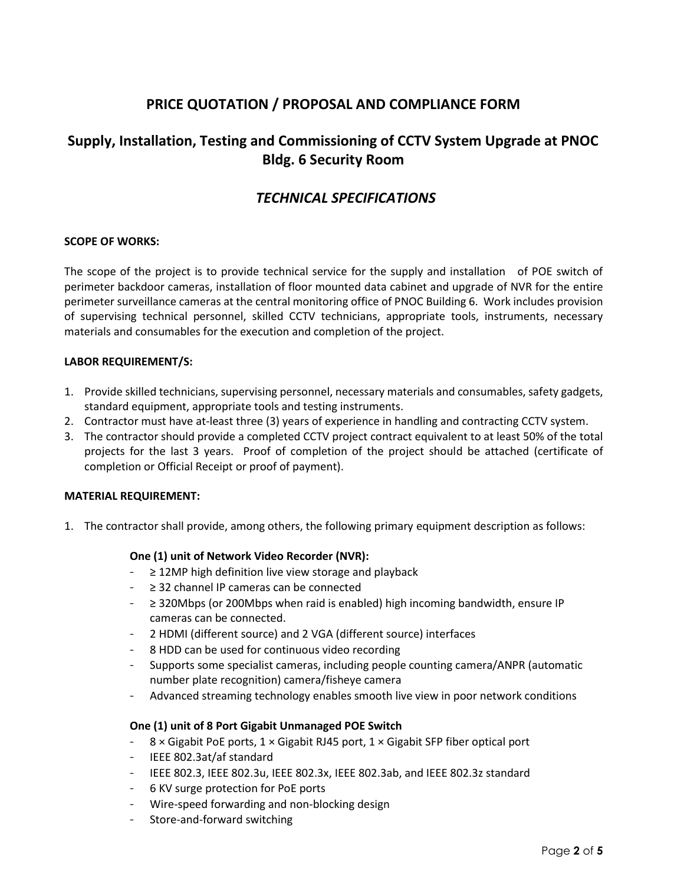## **PRICE QUOTATION / PROPOSAL AND COMPLIANCE FORM**

# **Supply, Installation, Testing and Commissioning of CCTV System Upgrade at PNOC Bldg. 6 Security Room**

## *TECHNICAL SPECIFICATIONS*

### **SCOPE OF WORKS:**

The scope of the project is to provide technical service for the supply and installation of POE switch of perimeter backdoor cameras, installation of floor mounted data cabinet and upgrade of NVR for the entire perimeter surveillance cameras at the central monitoring office of PNOC Building 6. Work includes provision of supervising technical personnel, skilled CCTV technicians, appropriate tools, instruments, necessary materials and consumables for the execution and completion of the project.

### **LABOR REQUIREMENT/S:**

- 1. Provide skilled technicians, supervising personnel, necessary materials and consumables, safety gadgets, standard equipment, appropriate tools and testing instruments.
- 2. Contractor must have at-least three (3) years of experience in handling and contracting CCTV system.
- 3. The contractor should provide a completed CCTV project contract equivalent to at least 50% of the total projects for the last 3 years. Proof of completion of the project should be attached (certificate of completion or Official Receipt or proof of payment).

### **MATERIAL REQUIREMENT:**

1. The contractor shall provide, among others, the following primary equipment description as follows:

## **One (1) unit of Network Video Recorder (NVR):**

- ≥ 12MP high definition live view storage and playback
- ≥ 32 channel IP cameras can be connected
- ≥ 320Mbps (or 200Mbps when raid is enabled) high incoming bandwidth, ensure IP cameras can be connected.
- 2 HDMI (different source) and 2 VGA (different source) interfaces
- 8 HDD can be used for continuous video recording
- Supports some specialist cameras, including people counting camera/ANPR (automatic number plate recognition) camera/fisheye camera
- Advanced streaming technology enables smooth live view in poor network conditions

### **One (1) unit of 8 Port Gigabit Unmanaged POE Switch**

- 8 × Gigabit PoE ports, 1 × Gigabit RJ45 port, 1 × Gigabit SFP fiber optical port
- IEEE 802.3at/af standard
- IEEE 802.3, IEEE 802.3u, IEEE 802.3x, IEEE 802.3ab, and IEEE 802.3z standard
- 6 KV surge protection for PoE ports
- Wire-speed forwarding and non-blocking design
- Store-and-forward switching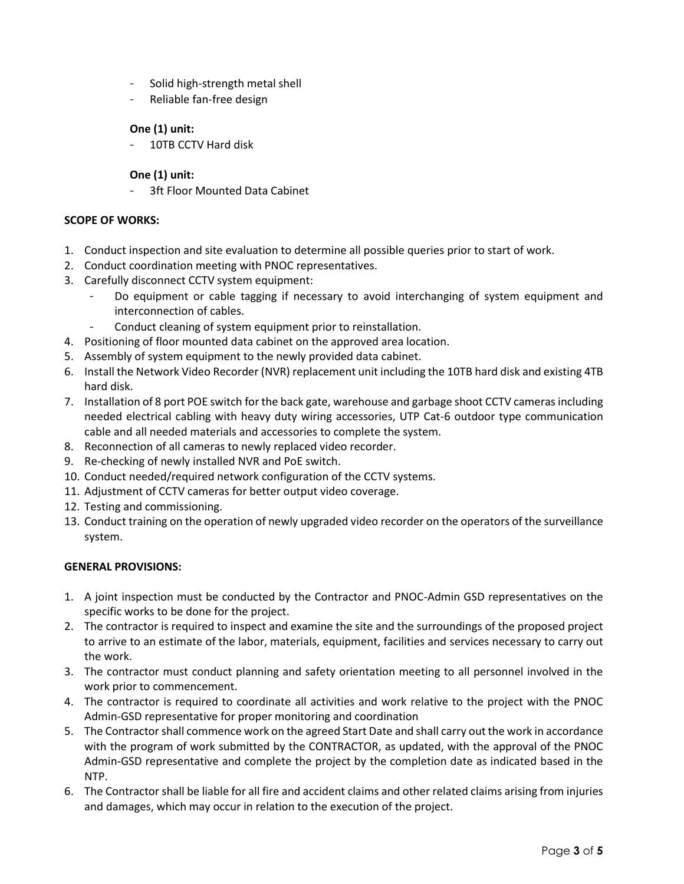- Solid high-strength metal shell
- Reliable fan-free design

## **One (1) unit:**

10TB CCTV Hard disk

## **One (1) unit:**

3ft Floor Mounted Data Cabinet

### **SCOPE OF WORKS:**

- 1. Conduct inspection and site evaluation to determine all possible queries prior to start of work.
- 2. Conduct coordination meeting with PNOC representatives.
- 3. Carefully disconnect CCTV system equipment:
	- Do equipment or cable tagging if necessary to avoid interchanging of system equipment and interconnection of cables.
	- Conduct cleaning of system equipment prior to reinstallation.
- 4. Positioning of floor mounted data cabinet on the approved area location.
- 5. Assembly of system equipment to the newly provided data cabinet.
- 6. Install the Network Video Recorder (NVR) replacement unit including the 10TB hard disk and existing 4TB hard disk.
- 7. Installation of 8 port POE switch for the back gate, warehouse and garbage shoot CCTV cameras including needed electrical cabling with heavy duty wiring accessories, UTP Cat-6 outdoor type communication cable and all needed materials and accessories to complete the system.
- 8. Reconnection of all cameras to newly replaced video recorder.
- 9. Re-checking of newly installed NVR and PoE switch.
- 10. Conduct needed/required network configuration of the CCTV systems.
- 11. Adjustment of CCTV cameras for better output video coverage.
- 12. Testing and commissioning.
- 13. Conduct training on the operation of newly upgraded video recorder on the operators of the surveillance system.

### **GENERAL PROVISIONS:**

- 1. A joint inspection must be conducted by the Contractor and PNOC-Admin GSD representatives on the specific works to be done for the project.
- 2. The contractor is required to inspect and examine the site and the surroundings of the proposed project to arrive to an estimate of the labor, materials, equipment, facilities and services necessary to carry out the work.
- 3. The contractor must conduct planning and safety orientation meeting to all personnel involved in the work prior to commencement.
- 4. The contractor is required to coordinate all activities and work relative to the project with the PNOC Admin-GSD representative for proper monitoring and coordination
- 5. The Contractor shall commence work on the agreed Start Date and shall carry out the work in accordance with the program of work submitted by the CONTRACTOR, as updated, with the approval of the PNOC Admin-GSD representative and complete the project by the completion date as indicated based in the NTP.
- 6. The Contractor shall be liable for all fire and accident claims and other related claims arising from injuries and damages, which may occur in relation to the execution of the project.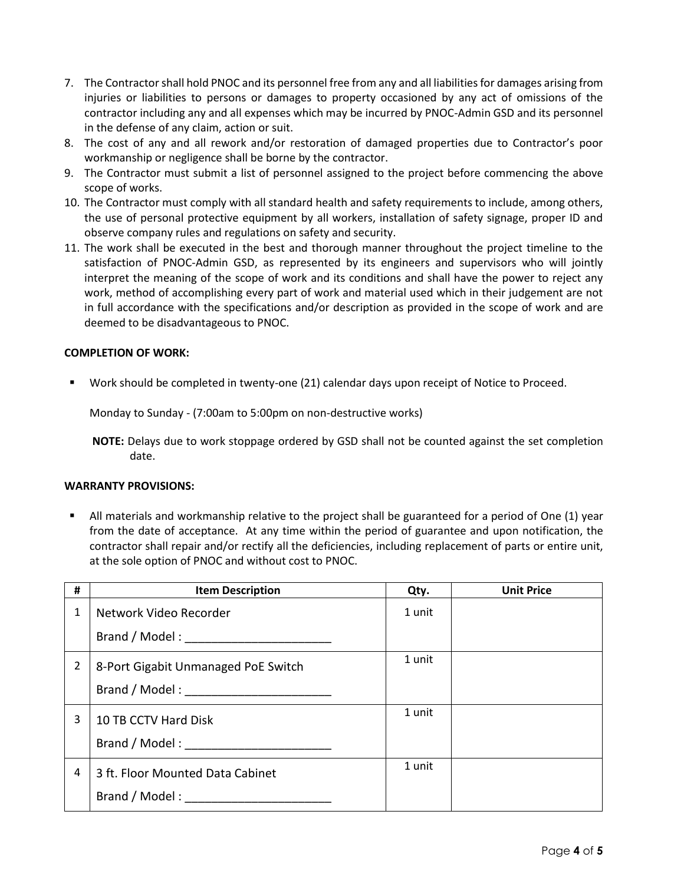- 7. The Contractor shall hold PNOC and its personnel free from any and all liabilities for damages arising from injuries or liabilities to persons or damages to property occasioned by any act of omissions of the contractor including any and all expenses which may be incurred by PNOC-Admin GSD and its personnel in the defense of any claim, action or suit.
- 8. The cost of any and all rework and/or restoration of damaged properties due to Contractor's poor workmanship or negligence shall be borne by the contractor.
- 9. The Contractor must submit a list of personnel assigned to the project before commencing the above scope of works.
- 10. The Contractor must comply with all standard health and safety requirements to include, among others, the use of personal protective equipment by all workers, installation of safety signage, proper ID and observe company rules and regulations on safety and security.
- 11. The work shall be executed in the best and thorough manner throughout the project timeline to the satisfaction of PNOC-Admin GSD, as represented by its engineers and supervisors who will jointly interpret the meaning of the scope of work and its conditions and shall have the power to reject any work, method of accomplishing every part of work and material used which in their judgement are not in full accordance with the specifications and/or description as provided in the scope of work and are deemed to be disadvantageous to PNOC.

### **COMPLETION OF WORK:**

Work should be completed in twenty-one (21) calendar days upon receipt of Notice to Proceed.

Monday to Sunday - (7:00am to 5:00pm on non-destructive works)

**NOTE:** Delays due to work stoppage ordered by GSD shall not be counted against the set completion date.

#### **WARRANTY PROVISIONS:**

 All materials and workmanship relative to the project shall be guaranteed for a period of One (1) year from the date of acceptance. At any time within the period of guarantee and upon notification, the contractor shall repair and/or rectify all the deficiencies, including replacement of parts or entire unit, at the sole option of PNOC and without cost to PNOC.

| # | <b>Item Description</b>                                                                                                                                                                                                        | Qty.   | <b>Unit Price</b> |
|---|--------------------------------------------------------------------------------------------------------------------------------------------------------------------------------------------------------------------------------|--------|-------------------|
| 1 | Network Video Recorder                                                                                                                                                                                                         | 1 unit |                   |
|   |                                                                                                                                                                                                                                |        |                   |
| 2 | 8-Port Gigabit Unmanaged PoE Switch                                                                                                                                                                                            | 1 unit |                   |
|   | Brand / Model: The contract of the contract of the contract of the contract of the contract of the contract of the contract of the contract of the contract of the contract of the contract of the contract of the contract of |        |                   |
| 3 | 10 TB CCTV Hard Disk                                                                                                                                                                                                           | 1 unit |                   |
|   |                                                                                                                                                                                                                                |        |                   |
| 4 | 3 ft. Floor Mounted Data Cabinet                                                                                                                                                                                               | 1 unit |                   |
|   | Brand / Model: The contract of the contract of the contract of the contract of the contract of the contract of the contract of the contract of the contract of the contract of the contract of the contract of the contract of |        |                   |